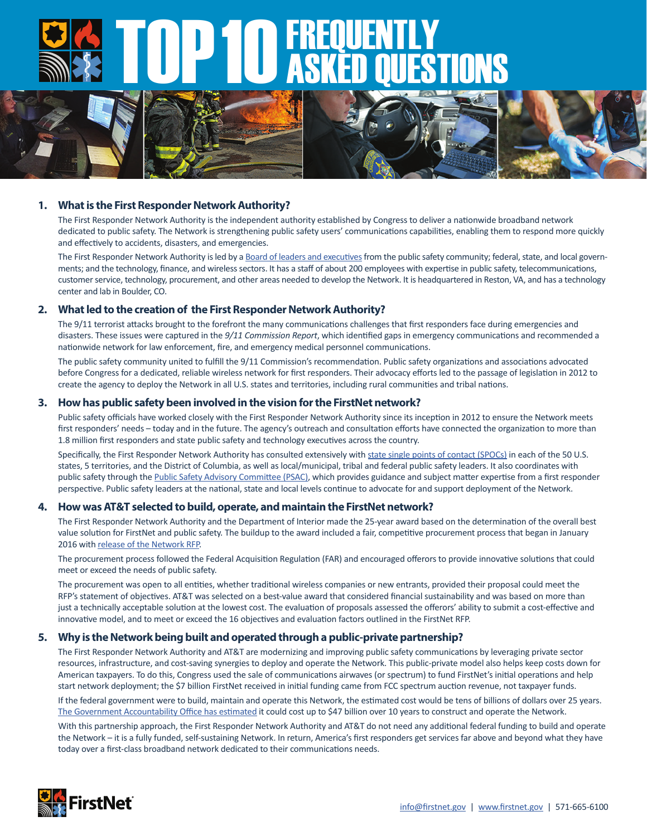# TOP 10 FREQUENTLY ASKED QUESTIONS



# **1. What is the First Responder Network Authority?**

The First Responder Network Authority is the independent authority established by Congress to deliver a nationwide broadband network dedicated to public safety. The Network is strengthening public safety users' communications capabilities, enabling them to respond more quickly and effectively to accidents, disasters, and emergencies.

The First Responder Network Authority is led by a Board of leaders and executives from the public safety community; federal, state, and local governments; and the technology, finance, and wireless sectors. It has a staff of about 200 employees with expertise in public safety, telecommunications, customer service, technology, procurement, and other areas needed to develop the Network. It is headquartered in Reston, VA, and has a technology center and lab in Boulder, CO.

# **2. What led to the creation of the First Responder Network Authority?**

The 9/11 terrorist attacks brought to the forefront the many communications challenges that first responders face during emergencies and disasters. These issues were captured in the *9/11 Commission Report*, which identified gaps in emergency communications and recommended a nationwide network for law enforcement, fire, and emergency medical personnel communications.

The public safety community united to fulfill the 9/11 Commission's recommendation. Public safety organizations and associations advocated before Congress for a dedicated, reliable wireless network for first responders. Their advocacy efforts led to the passage of legislation in 2012 to create the agency to deploy the Network in all U.S. states and territories, including rural communities and tribal nations.

# **3. How has public safety been involved in the vision for the FirstNet network?**

Public safety officials have worked closely with the First Responder Network Authority since its inception in 2012 to ensure the Network meets first responders' needs - today and in the future. The agency's outreach and consultation efforts have connected the organization to more than 1.8 million first responders and state public safety and technology executives across the country.

Specifically, the First Responder Network Authority has consulted extensively with state single points of contact (SPOCs) in each of the 50 U.S. states, 5 territories, and the District of Columbia, as well as local/municipal, tribal and federal public safety leaders. It also coordinates with public safety through the Public Safety Advisory Committee (PSAC), which provides guidance and subject matter expertise from a first responder perspective. Public safety leaders at the national, state and local levels continue to advocate for and support deployment of the Network.

### **4. How was AT&T selected to build, operate, and maintain the FirstNet network?**

The First Responder Network Authority and the Department of Interior made the 25-year award based on the determination of the overall best value solution for FirstNet and public safety. The buildup to the award included a fair, competitive procurement process that began in January 2016 with release of the Network RFP.

The procurement process followed the Federal Acquisition Regulation (FAR) and encouraged offerors to provide innovative solutions that could meet or exceed the needs of public safety.

The procurement was open to all entities, whether traditional wireless companies or new entrants, provided their proposal could meet the RFP's statement of objectives. AT&T was selected on a best-value award that considered financial sustainability and was based on more than just a technically acceptable solution at the lowest cost. The evaluation of proposals assessed the offerors' ability to submit a cost-effective and innovative model, and to meet or exceed the 16 objectives and evaluation factors outlined in the FirstNet RFP.

# **5. Why is the Network being built and operated through a public-private partnership?**

The First Responder Network Authority and AT&T are modernizing and improving public safety communications by leveraging private sector resources, infrastructure, and cost-saving synergies to deploy and operate the Network. This public-private model also helps keep costs down for American taxpayers. To do this, Congress used the sale of communications airwaves (or spectrum) to fund FirstNet's initial operations and help start network deployment; the \$7 billion FirstNet received in initial funding came from FCC spectrum auction revenue, not taxpayer funds.

If the federal government were to build, maintain and operate this Network, the estimated cost would be tens of billions of dollars over 25 years. The Government Accountability Office has estimated it could cost up to \$47 billion over 10 years to construct and operate the Network.

With this partnership approach, the First Responder Network Authority and AT&T do not need any additional federal funding to build and operate the Network – it is a fully funded, self-sustaining Network. In return, America's first responders get services far above and beyond what they have today over a first-class broadband network dedicated to their communications needs.